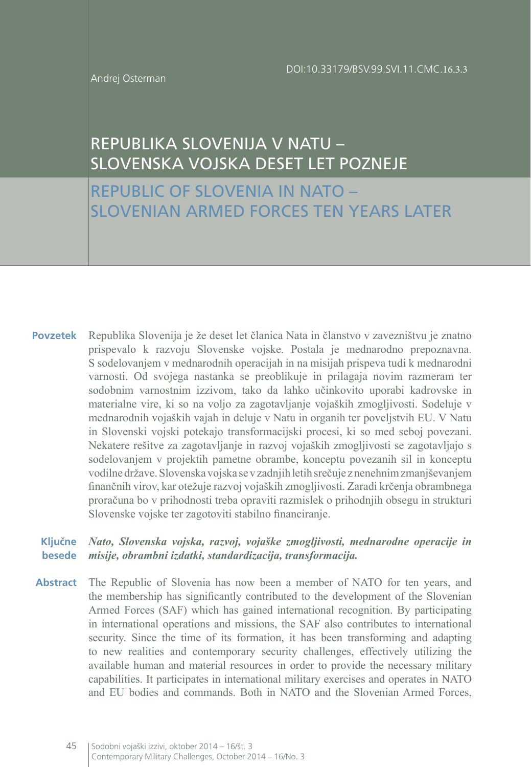# REPUBLIKA SLOVENIJA V NATU – SLOVENSKA VOJSKA DESET LET POZNEJE

REPUBLIC OF SLOVENIA IN NATO – SLOVENIAN ARMED FORCES TEN YEARS LATER

Republika Slovenija je že deset let članica Nata in članstvo v zavezništvu je znatno prispevalo k razvoju Slovenske vojske. Postala je mednarodno prepoznavna. S sodelovanjem v mednarodnih operacijah in na misijah prispeva tudi k mednarodni varnosti. Od svojega nastanka se preoblikuje in prilagaja novim razmeram ter sodobnim varnostnim izzivom, tako da lahko učinkovito uporabi kadrovske in materialne vire, ki so na voljo za zagotavljanje vojaških zmogljivosti. Sodeluje v mednarodnih vojaških vajah in deluje v Natu in organih ter poveljstvih EU. V Natu in Slovenski vojski potekajo transformacijski procesi, ki so med seboj povezani. Nekatere rešitve za zagotavljanje in razvoj vojaških zmogljivosti se zagotavljajo s sodelovanjem v projektih pametne obrambe, konceptu povezanih sil in konceptu vodilne države. Slovenska vojska se v zadnjih letih srečuje z nenehnim zmanjševanjem finančnih virov, kar otežuje razvoj vojaških zmogljivosti. Zaradi krčenja obrambnega proračuna bo v prihodnosti treba opraviti razmislek o prihodnjih obsegu in strukturi Slovenske vojske ter zagotoviti stabilno financiranje. **Povzetek**

#### *Nato, Slovenska vojska, razvoj, vojaške zmogljivosti, mednarodne operacije in misije, obrambni izdatki, standardizacija, transformacija.* **Ključne besede**

The Republic of Slovenia has now been a member of NATO for ten years, and the membership has significantly contributed to the development of the Slovenian Armed Forces (SAF) which has gained international recognition. By participating in international operations and missions, the SAF also contributes to international security. Since the time of its formation, it has been transforming and adapting to new realities and contemporary security challenges, effectively utilizing the available human and material resources in order to provide the necessary military capabilities. It participates in international military exercises and operates in NATO and EU bodies and commands. Both in NATO and the Slovenian Armed Forces, **Abstract**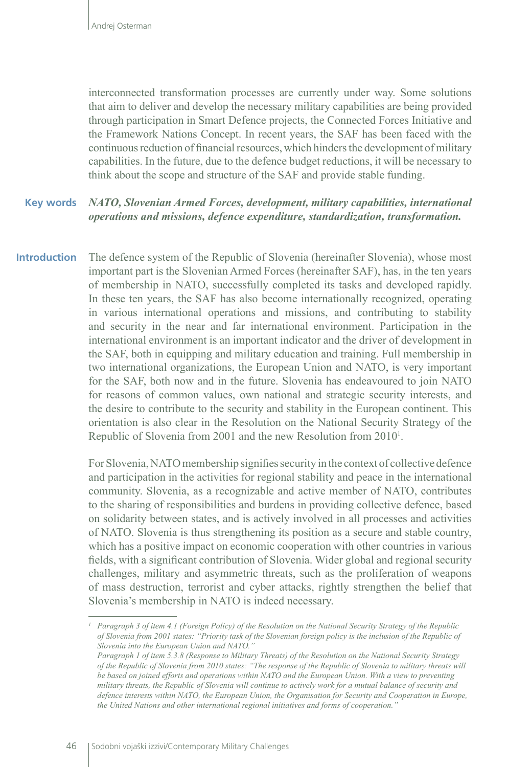interconnected transformation processes are currently under way. Some solutions that aim to deliver and develop the necessary military capabilities are being provided through participation in Smart Defence projects, the Connected Forces Initiative and the Framework Nations Concept. In recent years, the SAF has been faced with the continuous reduction of financial resources, which hinders the development of military capabilities. In the future, due to the defence budget reductions, it will be necessary to think about the scope and structure of the SAF and provide stable funding.

#### **Key words** *NATO, Slovenian Armed Forces, development, military capabilities, international operations and missions, defence expenditure, standardization, transformation.*

**Introduction** The defence system of the Republic of Slovenia (hereinafter Slovenia), whose most important part is the Slovenian Armed Forces (hereinafter SAF), has, in the ten years of membership in NATO, successfully completed its tasks and developed rapidly. In these ten years, the SAF has also become internationally recognized, operating in various international operations and missions, and contributing to stability and security in the near and far international environment. Participation in the international environment is an important indicator and the driver of development in the SAF, both in equipping and military education and training. Full membership in two international organizations, the European Union and NATO, is very important for the SAF, both now and in the future. Slovenia has endeavoured to join NATO for reasons of common values, own national and strategic security interests, and the desire to contribute to the security and stability in the European continent. This orientation is also clear in the Resolution on the National Security Strategy of the Republic of Slovenia from 2001 and the new Resolution from 2010<sup>1</sup>.

> For Slovenia, NATO membership signifies security in the context of collective defence and participation in the activities for regional stability and peace in the international community. Slovenia, as a recognizable and active member of NATO, contributes to the sharing of responsibilities and burdens in providing collective defence, based on solidarity between states, and is actively involved in all processes and activities of NATO. Slovenia is thus strengthening its position as a secure and stable country, which has a positive impact on economic cooperation with other countries in various fields, with a significant contribution of Slovenia. Wider global and regional security challenges, military and asymmetric threats, such as the proliferation of weapons of mass destruction, terrorist and cyber attacks, rightly strengthen the belief that Slovenia's membership in NATO is indeed necessary.

*<sup>1</sup> Paragraph 3 of item 4.1 (Foreign Policy) of the Resolution on the National Security Strategy of the Republic of Slovenia from 2001 states: "Priority task of the Slovenian foreign policy is the inclusion of the Republic of Slovenia into the European Union and NATO."* 

*Paragraph 1 of item 5.3.8 (Response to Military Threats) of the Resolution on the National Security Strategy of the Republic of Slovenia from 2010 states: "The response of the Republic of Slovenia to military threats will be based on joined efforts and operations within NATO and the European Union. With a view to preventing military threats, the Republic of Slovenia will continue to actively work for a mutual balance of security and defence interests within NATO, the European Union, the Organisation for Security and Cooperation in Europe, the United Nations and other international regional initiatives and forms of cooperation."*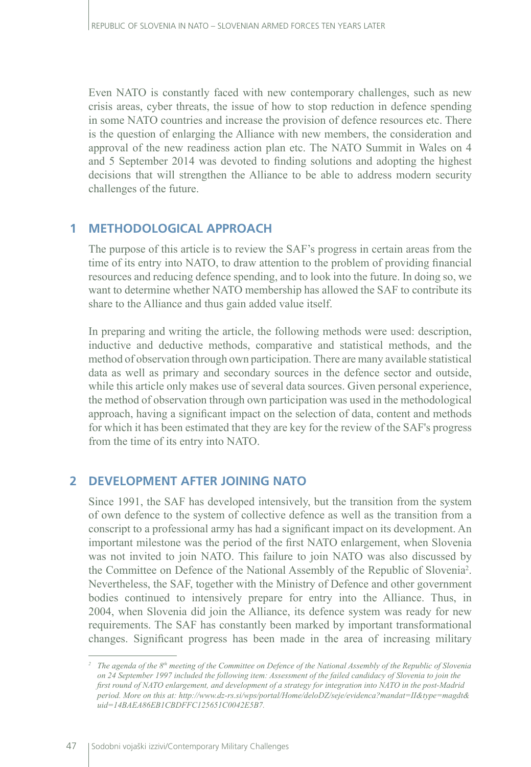Even NATO is constantly faced with new contemporary challenges, such as new crisis areas, cyber threats, the issue of how to stop reduction in defence spending in some NATO countries and increase the provision of defence resources etc. There is the question of enlarging the Alliance with new members, the consideration and approval of the new readiness action plan etc. The NATO Summit in Wales on 4 and 5 September 2014 was devoted to finding solutions and adopting the highest decisions that will strengthen the Alliance to be able to address modern security challenges of the future.

#### **1 METHODOLOGICAL APPROACH**

The purpose of this article is to review the SAF's progress in certain areas from the time of its entry into NATO, to draw attention to the problem of providing financial resources and reducing defence spending, and to look into the future. In doing so, we want to determine whether NATO membership has allowed the SAF to contribute its share to the Alliance and thus gain added value itself.

In preparing and writing the article, the following methods were used: description, inductive and deductive methods, comparative and statistical methods, and the method of observation through own participation. There are many available statistical data as well as primary and secondary sources in the defence sector and outside, while this article only makes use of several data sources. Given personal experience, the method of observation through own participation was used in the methodological approach, having a significant impact on the selection of data, content and methods for which it has been estimated that they are key for the review of the SAF's progress from the time of its entry into NATO.

#### **2 DEVELOPMENT AFTER JOINING NATO**

Since 1991, the SAF has developed intensively, but the transition from the system of own defence to the system of collective defence as well as the transition from a conscript to a professional army has had a significant impact on its development. An important milestone was the period of the first NATO enlargement, when Slovenia was not invited to join NATO. This failure to join NATO was also discussed by the Committee on Defence of the National Assembly of the Republic of Slovenia2 . Nevertheless, the SAF, together with the Ministry of Defence and other government bodies continued to intensively prepare for entry into the Alliance. Thus, in 2004, when Slovenia did join the Alliance, its defence system was ready for new requirements. The SAF has constantly been marked by important transformational changes. Significant progress has been made in the area of increasing military

*<sup>2</sup> The agenda of the 8th meeting of the Committee on Defence of the National Assembly of the Republic of Slovenia on 24 September 1997 included the following item: Assessment of the failed candidacy of Slovenia to join the first round of NATO enlargement, and development of a strategy for integration into NATO in the post-Madrid period. More on this at: http://www.dz-rs.si/wps/portal/Home/deloDZ/seje/evidenca?mandat=II&type=magdt& uid=14BAEA86EB1CBDFFC125651C0042E5B7.*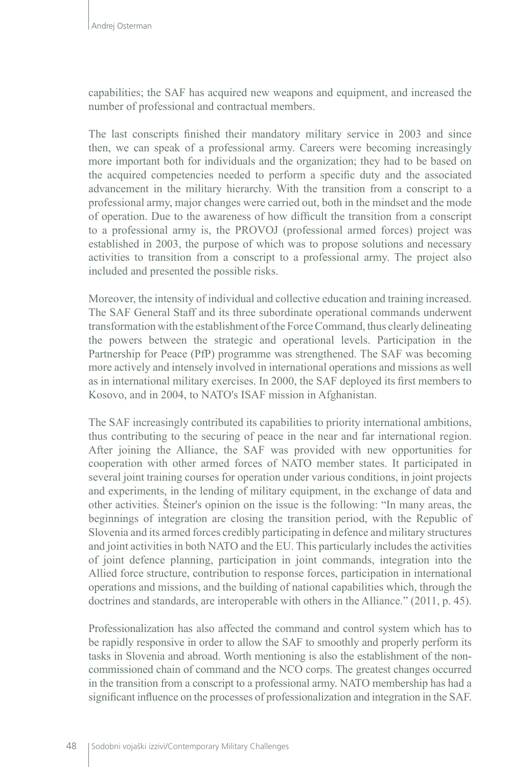capabilities; the SAF has acquired new weapons and equipment, and increased the number of professional and contractual members.

The last conscripts finished their mandatory military service in 2003 and since then, we can speak of a professional army. Careers were becoming increasingly more important both for individuals and the organization; they had to be based on the acquired competencies needed to perform a specific duty and the associated advancement in the military hierarchy. With the transition from a conscript to a professional army, major changes were carried out, both in the mindset and the mode of operation. Due to the awareness of how difficult the transition from a conscript to a professional army is, the PROVOJ (professional armed forces) project was established in 2003, the purpose of which was to propose solutions and necessary activities to transition from a conscript to a professional army. The project also included and presented the possible risks.

Moreover, the intensity of individual and collective education and training increased. The SAF General Staff and its three subordinate operational commands underwent transformation with the establishment of the Force Command, thus clearly delineating the powers between the strategic and operational levels. Participation in the Partnership for Peace (PfP) programme was strengthened. The SAF was becoming more actively and intensely involved in international operations and missions as well as in international military exercises. In 2000, the SAF deployed its first members to Kosovo, and in 2004, to NATO's ISAF mission in Afghanistan.

The SAF increasingly contributed its capabilities to priority international ambitions, thus contributing to the securing of peace in the near and far international region. After joining the Alliance, the SAF was provided with new opportunities for cooperation with other armed forces of NATO member states. It participated in several joint training courses for operation under various conditions, in joint projects and experiments, in the lending of military equipment, in the exchange of data and other activities. Šteiner's opinion on the issue is the following: "In many areas, the beginnings of integration are closing the transition period, with the Republic of Slovenia and its armed forces credibly participating in defence and military structures and joint activities in both NATO and the EU. This particularly includes the activities of joint defence planning, participation in joint commands, integration into the Allied force structure, contribution to response forces, participation in international operations and missions, and the building of national capabilities which, through the doctrines and standards, are interoperable with others in the Alliance." (2011, p. 45).

Professionalization has also affected the command and control system which has to be rapidly responsive in order to allow the SAF to smoothly and properly perform its tasks in Slovenia and abroad. Worth mentioning is also the establishment of the noncommissioned chain of command and the NCO corps. The greatest changes occurred in the transition from a conscript to a professional army. NATO membership has had a significant influence on the processes of professionalization and integration in the SAF.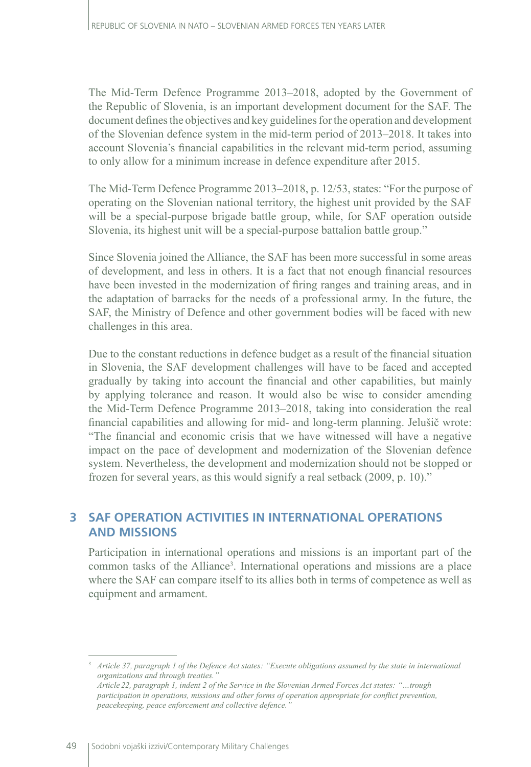The Mid-Term Defence Programme 2013–2018, adopted by the Government of the Republic of Slovenia, is an important development document for the SAF. The document defines the objectives and key guidelines for the operation and development of the Slovenian defence system in the mid-term period of 2013–2018. It takes into account Slovenia's financial capabilities in the relevant mid-term period, assuming to only allow for a minimum increase in defence expenditure after 2015.

The Mid-Term Defence Programme 2013–2018, p. 12/53, states: "For the purpose of operating on the Slovenian national territory, the highest unit provided by the SAF will be a special-purpose brigade battle group, while, for SAF operation outside Slovenia, its highest unit will be a special-purpose battalion battle group."

Since Slovenia joined the Alliance, the SAF has been more successful in some areas of development, and less in others. It is a fact that not enough financial resources have been invested in the modernization of firing ranges and training areas, and in the adaptation of barracks for the needs of a professional army. In the future, the SAF, the Ministry of Defence and other government bodies will be faced with new challenges in this area.

Due to the constant reductions in defence budget as a result of the financial situation in Slovenia, the SAF development challenges will have to be faced and accepted gradually by taking into account the financial and other capabilities, but mainly by applying tolerance and reason. It would also be wise to consider amending the Mid-Term Defence Programme 2013–2018, taking into consideration the real financial capabilities and allowing for mid- and long-term planning. Jelušič wrote: "The financial and economic crisis that we have witnessed will have a negative impact on the pace of development and modernization of the Slovenian defence system. Nevertheless, the development and modernization should not be stopped or frozen for several years, as this would signify a real setback (2009, p. 10)."

## **3 SAF OPERATION ACTIVITIES IN INTERNATIONAL OPERATIONS AND MISSIONS**

Participation in international operations and missions is an important part of the common tasks of the Alliance<sup>3</sup>. International operations and missions are a place where the SAF can compare itself to its allies both in terms of competence as well as equipment and armament.

*<sup>3</sup> Article 37, paragraph 1 of the Defence Act states: "Execute obligations assumed by the state in international organizations and through treaties."*

*Article 22, paragraph 1, indent 2 of the Service in the Slovenian Armed Forces Act states: "…trough participation in operations, missions and other forms of operation appropriate for conflict prevention, peacekeeping, peace enforcement and collective defence."*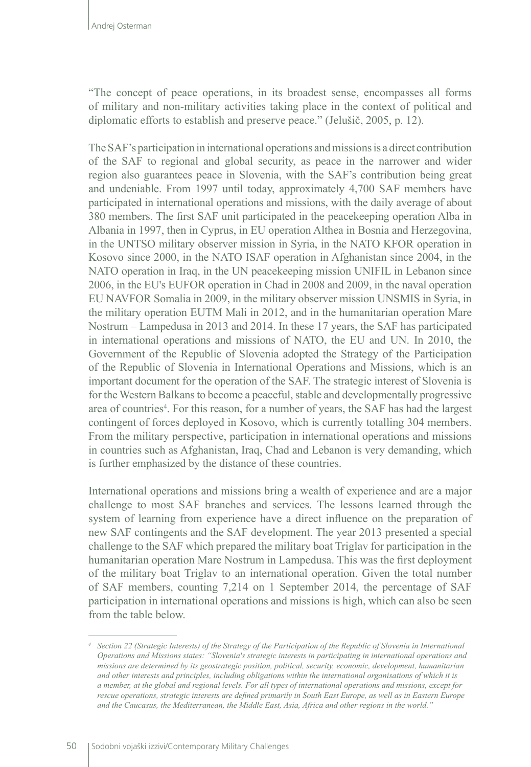"The concept of peace operations, in its broadest sense, encompasses all forms of military and non-military activities taking place in the context of political and diplomatic efforts to establish and preserve peace." (Jelušič, 2005, p. 12).

The SAF's participation in international operations and missions is a direct contribution of the SAF to regional and global security, as peace in the narrower and wider region also guarantees peace in Slovenia, with the SAF's contribution being great and undeniable. From 1997 until today, approximately 4,700 SAF members have participated in international operations and missions, with the daily average of about 380 members. The first SAF unit participated in the peacekeeping operation Alba in Albania in 1997, then in Cyprus, in EU operation Althea in Bosnia and Herzegovina, in the UNTSO military observer mission in Syria, in the NATO KFOR operation in Kosovo since 2000, in the NATO ISAF operation in Afghanistan since 2004, in the NATO operation in Iraq, in the UN peacekeeping mission UNIFIL in Lebanon since 2006, in the EU's EUFOR operation in Chad in 2008 and 2009, in the naval operation EU NAVFOR Somalia in 2009, in the military observer mission UNSMIS in Syria, in the military operation EUTM Mali in 2012, and in the humanitarian operation Mare Nostrum – Lampedusa in 2013 and 2014. In these 17 years, the SAF has participated in international operations and missions of NATO, the EU and UN. In 2010, the Government of the Republic of Slovenia adopted the Strategy of the Participation of the Republic of Slovenia in International Operations and Missions, which is an important document for the operation of the SAF. The strategic interest of Slovenia is for the Western Balkans to become a peaceful, stable and developmentally progressive area of countries<sup>4</sup>. For this reason, for a number of years, the SAF has had the largest contingent of forces deployed in Kosovo, which is currently totalling 304 members. From the military perspective, participation in international operations and missions in countries such as Afghanistan, Iraq, Chad and Lebanon is very demanding, which is further emphasized by the distance of these countries.

International operations and missions bring a wealth of experience and are a major challenge to most SAF branches and services. The lessons learned through the system of learning from experience have a direct influence on the preparation of new SAF contingents and the SAF development. The year 2013 presented a special challenge to the SAF which prepared the military boat Triglav for participation in the humanitarian operation Mare Nostrum in Lampedusa. This was the first deployment of the military boat Triglav to an international operation. Given the total number of SAF members, counting 7,214 on 1 September 2014, the percentage of SAF participation in international operations and missions is high, which can also be seen from the table below.

*<sup>4</sup> Section 22 (Strategic Interests) of the Strategy of the Participation of the Republic of Slovenia in International Operations and Missions states: "Slovenia's strategic interests in participating in international operations and missions are determined by its geostrategic position, political, security, economic, development, humanitarian and other interests and principles, including obligations within the international organisations of which it is a member, at the global and regional levels. For all types of international operations and missions, except for rescue operations, strategic interests are defined primarily in South East Europe, as well as in Eastern Europe and the Caucasus, the Mediterranean, the Middle East, Asia, Africa and other regions in the world."*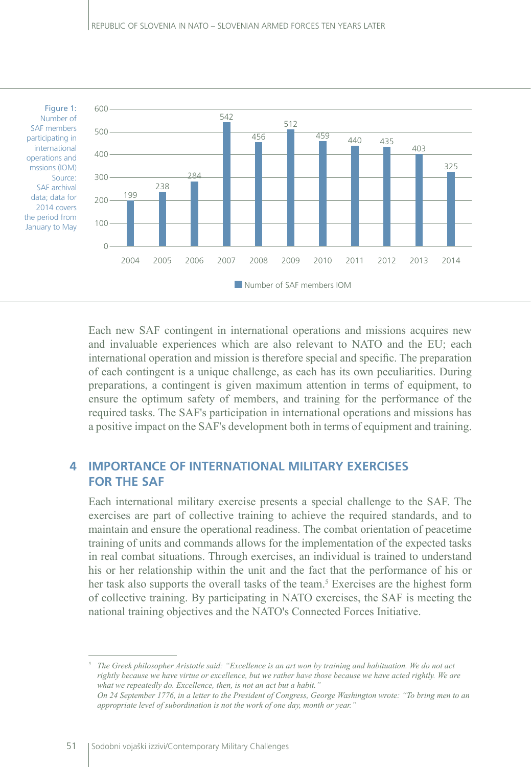

Each new SAF contingent in international operations and missions acquires new and invaluable experiences which are also relevant to NATO and the EU; each international operation and mission is therefore special and specific. The preparation of each contingent is a unique challenge, as each has its own peculiarities. During preparations, a contingent is given maximum attention in terms of equipment, to ensure the optimum safety of members, and training for the performance of the required tasks. The SAF's participation in international operations and missions has a positive impact on the SAF's development both in terms of equipment and training.

## **4 IMPORTANCE OF INTERNATIONAL MILITARY EXERCISES FOR THE SAF**

Each international military exercise presents a special challenge to the SAF. The exercises are part of collective training to achieve the required standards, and to maintain and ensure the operational readiness. The combat orientation of peacetime training of units and commands allows for the implementation of the expected tasks in real combat situations. Through exercises, an individual is trained to understand his or her relationship within the unit and the fact that the performance of his or her task also supports the overall tasks of the team.<sup>5</sup> Exercises are the highest form of collective training. By participating in NATO exercises, the SAF is meeting the national training objectives and the NATO's Connected Forces Initiative.

*<sup>5</sup> The Greek philosopher Aristotle said: "Excellence is an art won by training and habituation. We do not act rightly because we have virtue or excellence, but we rather have those because we have acted rightly. We are what we repeatedly do. Excellence, then, is not an act but a habit."*

*On 24 September 1776, in a letter to the President of Congress, George Washington wrote: "To bring men to an appropriate level of subordination is not the work of one day, month or year."*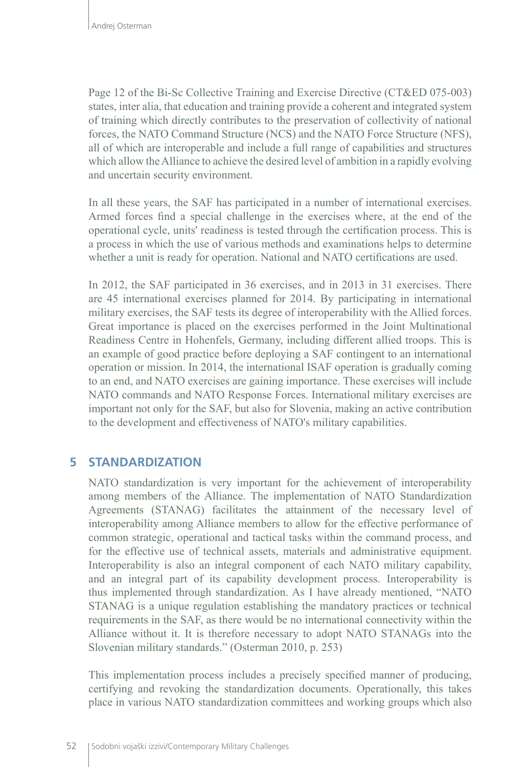Page 12 of the Bi-Sc Collective Training and Exercise Directive (CT&ED 075-003) states, inter alia, that education and training provide a coherent and integrated system of training which directly contributes to the preservation of collectivity of national forces, the NATO Command Structure (NCS) and the NATO Force Structure (NFS), all of which are interoperable and include a full range of capabilities and structures which allow the Alliance to achieve the desired level of ambition in a rapidly evolving and uncertain security environment.

In all these years, the SAF has participated in a number of international exercises. Armed forces find a special challenge in the exercises where, at the end of the operational cycle, units' readiness is tested through the certification process. This is a process in which the use of various methods and examinations helps to determine whether a unit is ready for operation. National and NATO certifications are used.

In 2012, the SAF participated in 36 exercises, and in 2013 in 31 exercises. There are 45 international exercises planned for 2014. By participating in international military exercises, the SAF tests its degree of interoperability with the Allied forces. Great importance is placed on the exercises performed in the Joint Multinational Readiness Centre in Hohenfels, Germany, including different allied troops. This is an example of good practice before deploying a SAF contingent to an international operation or mission. In 2014, the international ISAF operation is gradually coming to an end, and NATO exercises are gaining importance. These exercises will include NATO commands and NATO Response Forces. International military exercises are important not only for the SAF, but also for Slovenia, making an active contribution to the development and effectiveness of NATO's military capabilities.

## **5 STANDARDIZATION**

NATO standardization is very important for the achievement of interoperability among members of the Alliance. The implementation of NATO Standardization Agreements (STANAG) facilitates the attainment of the necessary level of interoperability among Alliance members to allow for the effective performance of common strategic, operational and tactical tasks within the command process, and for the effective use of technical assets, materials and administrative equipment. Interoperability is also an integral component of each NATO military capability, and an integral part of its capability development process. Interoperability is thus implemented through standardization. As I have already mentioned, "NATO STANAG is a unique regulation establishing the mandatory practices or technical requirements in the SAF, as there would be no international connectivity within the Alliance without it. It is therefore necessary to adopt NATO STANAGs into the Slovenian military standards." (Osterman 2010, p. 253)

This implementation process includes a precisely specified manner of producing, certifying and revoking the standardization documents. Operationally, this takes place in various NATO standardization committees and working groups which also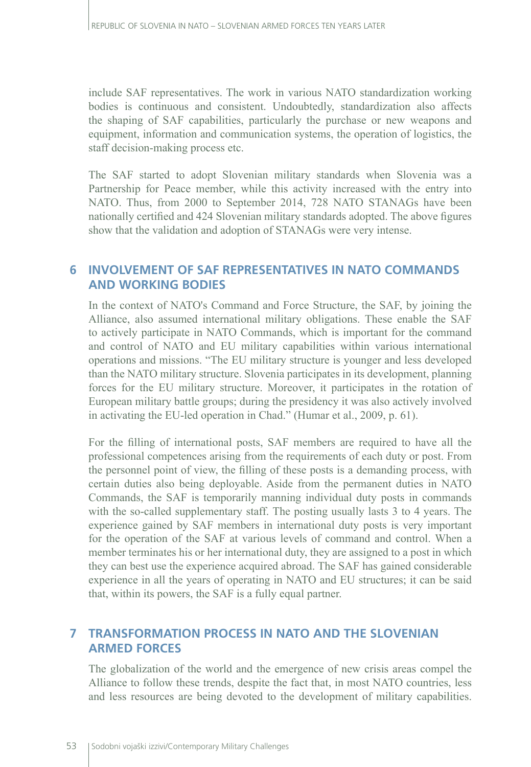include SAF representatives. The work in various NATO standardization working bodies is continuous and consistent. Undoubtedly, standardization also affects the shaping of SAF capabilities, particularly the purchase or new weapons and equipment, information and communication systems, the operation of logistics, the staff decision-making process etc.

The SAF started to adopt Slovenian military standards when Slovenia was a Partnership for Peace member, while this activity increased with the entry into NATO. Thus, from 2000 to September 2014, 728 NATO STANAGs have been nationally certified and 424 Slovenian military standards adopted. The above figures show that the validation and adoption of STANAGs were very intense.

## **6 INVOLVEMENT OF SAF REPRESENTATIVES IN NATO COMMANDS AND WORKING BODIES**

In the context of NATO's Command and Force Structure, the SAF, by joining the Alliance, also assumed international military obligations. These enable the SAF to actively participate in NATO Commands, which is important for the command and control of NATO and EU military capabilities within various international operations and missions. "The EU military structure is younger and less developed than the NATO military structure. Slovenia participates in its development, planning forces for the EU military structure. Moreover, it participates in the rotation of European military battle groups; during the presidency it was also actively involved in activating the EU-led operation in Chad." (Humar et al., 2009, p. 61).

For the filling of international posts, SAF members are required to have all the professional competences arising from the requirements of each duty or post. From the personnel point of view, the filling of these posts is a demanding process, with certain duties also being deployable. Aside from the permanent duties in NATO Commands, the SAF is temporarily manning individual duty posts in commands with the so-called supplementary staff. The posting usually lasts 3 to 4 years. The experience gained by SAF members in international duty posts is very important for the operation of the SAF at various levels of command and control. When a member terminates his or her international duty, they are assigned to a post in which they can best use the experience acquired abroad. The SAF has gained considerable experience in all the years of operating in NATO and EU structures; it can be said that, within its powers, the SAF is a fully equal partner.

## **7 TRANSFORMATION PROCESS IN NATO AND THE SLOVENIAN ARMED FORCES**

The globalization of the world and the emergence of new crisis areas compel the Alliance to follow these trends, despite the fact that, in most NATO countries, less and less resources are being devoted to the development of military capabilities.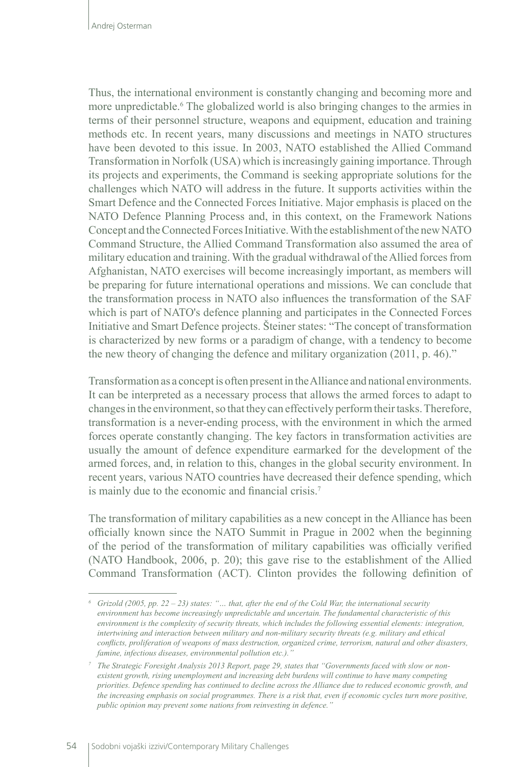Thus, the international environment is constantly changing and becoming more and more unpredictable.<sup>6</sup> The globalized world is also bringing changes to the armies in terms of their personnel structure, weapons and equipment, education and training methods etc. In recent years, many discussions and meetings in NATO structures have been devoted to this issue. In 2003, NATO established the Allied Command Transformation in Norfolk (USA) which is increasingly gaining importance. Through its projects and experiments, the Command is seeking appropriate solutions for the challenges which NATO will address in the future. It supports activities within the Smart Defence and the Connected Forces Initiative. Major emphasis is placed on the NATO Defence Planning Process and, in this context, on the Framework Nations Concept and the Connected Forces Initiative. With the establishment of the new NATO Command Structure, the Allied Command Transformation also assumed the area of military education and training. With the gradual withdrawal of the Allied forces from Afghanistan, NATO exercises will become increasingly important, as members will be preparing for future international operations and missions. We can conclude that the transformation process in NATO also influences the transformation of the SAF which is part of NATO's defence planning and participates in the Connected Forces Initiative and Smart Defence projects. Šteiner states: "The concept of transformation is characterized by new forms or a paradigm of change, with a tendency to become the new theory of changing the defence and military organization (2011, p. 46)."

Transformation as a concept is often present in the Alliance and national environments. It can be interpreted as a necessary process that allows the armed forces to adapt to changes in the environment, so that they can effectively perform their tasks. Therefore, transformation is a never-ending process, with the environment in which the armed forces operate constantly changing. The key factors in transformation activities are usually the amount of defence expenditure earmarked for the development of the armed forces, and, in relation to this, changes in the global security environment. In recent years, various NATO countries have decreased their defence spending, which is mainly due to the economic and financial crisis.7

The transformation of military capabilities as a new concept in the Alliance has been officially known since the NATO Summit in Prague in 2002 when the beginning of the period of the transformation of military capabilities was officially verified (NATO Handbook, 2006, p. 20); this gave rise to the establishment of the Allied Command Transformation (ACT). Clinton provides the following definition of

*<sup>6</sup> Grizold (2005, pp. 22 – 23) states: "… that, after the end of the Cold War, the international security environment has become increasingly unpredictable and uncertain. The fundamental characteristic of this environment is the complexity of security threats, which includes the following essential elements: integration, intertwining and interaction between military and non-military security threats (e.g. military and ethical conflicts, proliferation of weapons of mass destruction, organized crime, terrorism, natural and other disasters, famine, infectious diseases, environmental pollution etc.).* 

*<sup>7</sup> The Strategic Foresight Analysis 2013 Report, page 29, states that "Governments faced with slow or nonexistent growth, rising unemployment and increasing debt burdens will continue to have many competing priorities. Defence spending has continued to decline across the Alliance due to reduced economic growth, and the increasing emphasis on social programmes. There is a risk that, even if economic cycles turn more positive, public opinion may prevent some nations from reinvesting in defence."*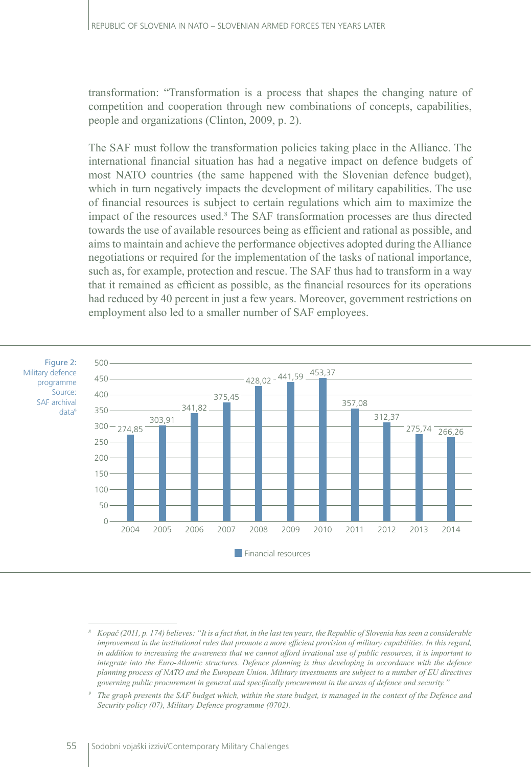transformation: "Transformation is a process that shapes the changing nature of competition and cooperation through new combinations of concepts, capabilities, people and organizations (Clinton, 2009, p. 2).

The SAF must follow the transformation policies taking place in the Alliance. The international financial situation has had a negative impact on defence budgets of most NATO countries (the same happened with the Slovenian defence budget), which in turn negatively impacts the development of military capabilities. The use of financial resources is subject to certain regulations which aim to maximize the impact of the resources used.<sup>8</sup> The SAF transformation processes are thus directed towards the use of available resources being as efficient and rational as possible, and aims to maintain and achieve the performance objectives adopted during the Alliance negotiations or required for the implementation of the tasks of national importance, such as, for example, protection and rescue. The SAF thus had to transform in a way that it remained as efficient as possible, as the financial resources for its operations had reduced by 40 percent in just a few years. Moreover, government restrictions on employment also led to a smaller number of SAF employees.



*<sup>8</sup> Kopač (2011, p. 174) believes: "It is a fact that, in the last ten years, the Republic of Slovenia has seen a considerable improvement in the institutional rules that promote a more efficient provision of military capabilities. In this regard, in addition to increasing the awareness that we cannot afford irrational use of public resources, it is important to integrate into the Euro-Atlantic structures. Defence planning is thus developing in accordance with the defence planning process of NATO and the European Union. Military investments are subject to a number of EU directives governing public procurement in general and specifically procurement in the areas of defence and security."*

*<sup>9</sup> The graph presents the SAF budget which, within the state budget, is managed in the context of the Defence and Security policy (07), Military Defence programme (0702).*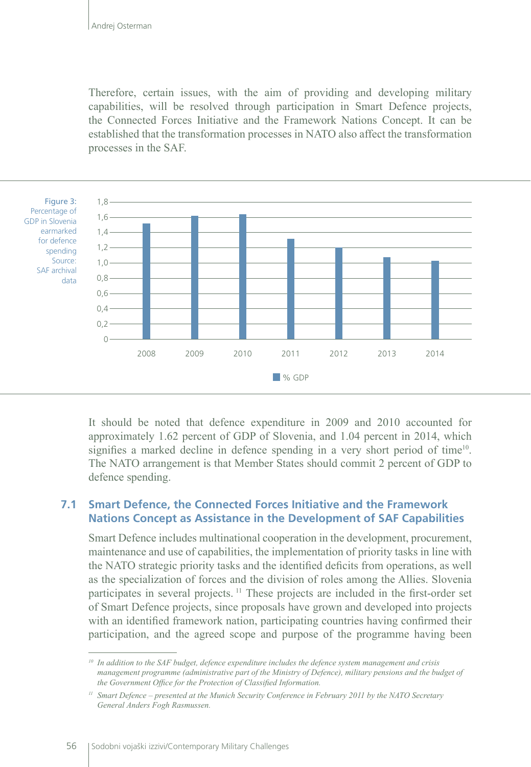Therefore, certain issues, with the aim of providing and developing military capabilities, will be resolved through participation in Smart Defence projects, the Connected Forces Initiative and the Framework Nations Concept. It can be established that the transformation processes in NATO also affect the transformation processes in the SAF.



It should be noted that defence expenditure in 2009 and 2010 accounted for approximately 1.62 percent of GDP of Slovenia, and 1.04 percent in 2014, which signifies a marked decline in defence spending in a very short period of time<sup>10</sup>. The NATO arrangement is that Member States should commit 2 percent of GDP to defence spending.

#### **7.1 Smart Defence, the Connected Forces Initiative and the Framework Nations Concept as Assistance in the Development of SAF Capabilities**

Smart Defence includes multinational cooperation in the development, procurement, maintenance and use of capabilities, the implementation of priority tasks in line with the NATO strategic priority tasks and the identified deficits from operations, as well as the specialization of forces and the division of roles among the Allies. Slovenia participates in several projects. <sup>11</sup> These projects are included in the first-order set of Smart Defence projects, since proposals have grown and developed into projects with an identified framework nation, participating countries having confirmed their participation, and the agreed scope and purpose of the programme having been

*<sup>10</sup> In addition to the SAF budget, defence expenditure includes the defence system management and crisis management programme (administrative part of the Ministry of Defence), military pensions and the budget of the Government Office for the Protection of Classified Information.*

*<sup>11</sup> Smart Defence – presented at the Munich Security Conference in February 2011 by the NATO Secretary General Anders Fogh Rasmussen.*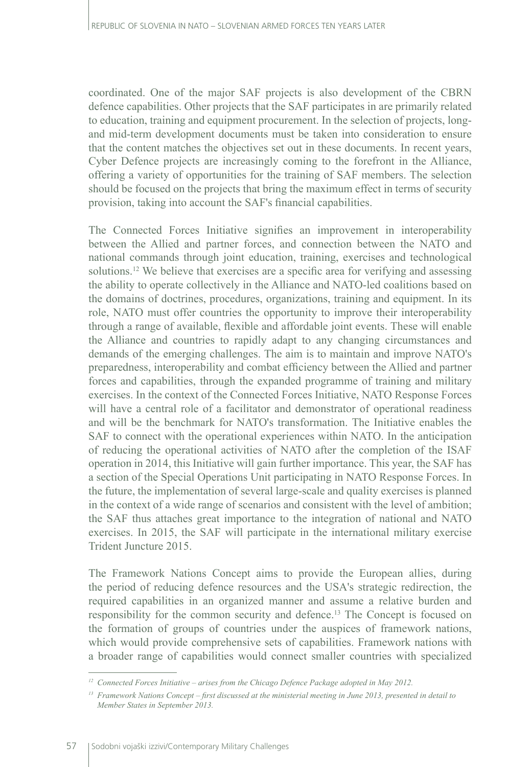coordinated. One of the major SAF projects is also development of the CBRN defence capabilities. Other projects that the SAF participates in are primarily related to education, training and equipment procurement. In the selection of projects, longand mid-term development documents must be taken into consideration to ensure that the content matches the objectives set out in these documents. In recent years, Cyber Defence projects are increasingly coming to the forefront in the Alliance, offering a variety of opportunities for the training of SAF members. The selection should be focused on the projects that bring the maximum effect in terms of security provision, taking into account the SAF's financial capabilities.

The Connected Forces Initiative signifies an improvement in interoperability between the Allied and partner forces, and connection between the NATO and national commands through joint education, training, exercises and technological solutions.<sup>12</sup> We believe that exercises are a specific area for verifying and assessing the ability to operate collectively in the Alliance and NATO-led coalitions based on the domains of doctrines, procedures, organizations, training and equipment. In its role, NATO must offer countries the opportunity to improve their interoperability through a range of available, flexible and affordable joint events. These will enable the Alliance and countries to rapidly adapt to any changing circumstances and demands of the emerging challenges. The aim is to maintain and improve NATO's preparedness, interoperability and combat efficiency between the Allied and partner forces and capabilities, through the expanded programme of training and military exercises. In the context of the Connected Forces Initiative, NATO Response Forces will have a central role of a facilitator and demonstrator of operational readiness and will be the benchmark for NATO's transformation. The Initiative enables the SAF to connect with the operational experiences within NATO. In the anticipation of reducing the operational activities of NATO after the completion of the ISAF operation in 2014, this Initiative will gain further importance. This year, the SAF has a section of the Special Operations Unit participating in NATO Response Forces. In the future, the implementation of several large-scale and quality exercises is planned in the context of a wide range of scenarios and consistent with the level of ambition; the SAF thus attaches great importance to the integration of national and NATO exercises. In 2015, the SAF will participate in the international military exercise Trident Juncture 2015.

The Framework Nations Concept aims to provide the European allies, during the period of reducing defence resources and the USA's strategic redirection, the required capabilities in an organized manner and assume a relative burden and responsibility for the common security and defence.13 The Concept is focused on the formation of groups of countries under the auspices of framework nations, which would provide comprehensive sets of capabilities. Framework nations with a broader range of capabilities would connect smaller countries with specialized

*<sup>12</sup> Connected Forces Initiative – arises from the Chicago Defence Package adopted in May 2012.*

*<sup>13</sup> Framework Nations Concept – first discussed at the ministerial meeting in June 2013, presented in detail to Member States in September 2013.*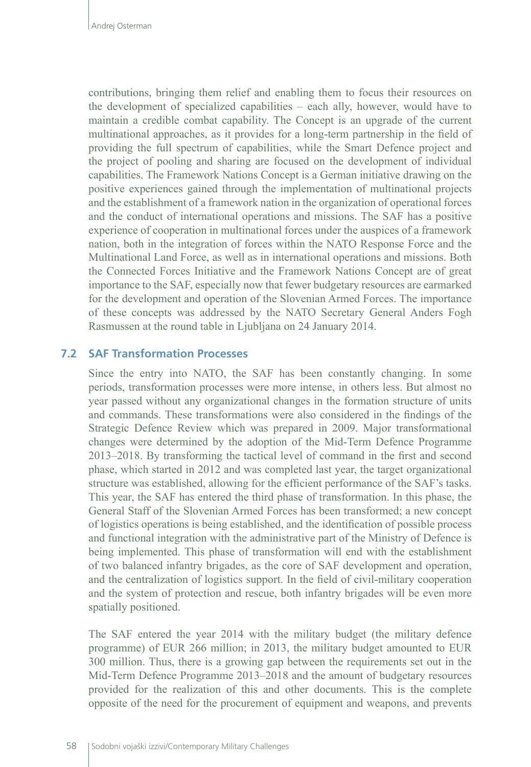contributions, bringing them relief and enabling them to focus their resources on the development of specialized capabilities – each ally, however, would have to maintain a credible combat capability. The Concept is an upgrade of the current multinational approaches, as it provides for a long-term partnership in the field of providing the full spectrum of capabilities, while the Smart Defence project and the project of pooling and sharing are focused on the development of individual capabilities. The Framework Nations Concept is a German initiative drawing on the positive experiences gained through the implementation of multinational projects and the establishment of a framework nation in the organization of operational forces and the conduct of international operations and missions. The SAF has a positive experience of cooperation in multinational forces under the auspices of a framework nation, both in the integration of forces within the NATO Response Force and the Multinational Land Force, as well as in international operations and missions. Both the Connected Forces Initiative and the Framework Nations Concept are of great importance to the SAF, especially now that fewer budgetary resources are earmarked for the development and operation of the Slovenian Armed Forces. The importance of these concepts was addressed by the NATO Secretary General Anders Fogh Rasmussen at the round table in Ljubljana on 24 January 2014.

#### **7.2 SAF Transformation Processes**

Since the entry into NATO, the SAF has been constantly changing. In some periods, transformation processes were more intense, in others less. But almost no year passed without any organizational changes in the formation structure of units and commands. These transformations were also considered in the findings of the Strategic Defence Review which was prepared in 2009. Major transformational changes were determined by the adoption of the Mid-Term Defence Programme 2013–2018. By transforming the tactical level of command in the first and second phase, which started in 2012 and was completed last year, the target organizational structure was established, allowing for the efficient performance of the SAF's tasks. This year, the SAF has entered the third phase of transformation. In this phase, the General Staff of the Slovenian Armed Forces has been transformed; a new concept of logistics operations is being established, and the identification of possible process and functional integration with the administrative part of the Ministry of Defence is being implemented. This phase of transformation will end with the establishment of two balanced infantry brigades, as the core of SAF development and operation, and the centralization of logistics support. In the field of civil-military cooperation and the system of protection and rescue, both infantry brigades will be even more spatially positioned.

The SAF entered the year 2014 with the military budget (the military defence programme) of EUR 266 million; in 2013, the military budget amounted to EUR 300 million. Thus, there is a growing gap between the requirements set out in the Mid-Term Defence Programme 2013–2018 and the amount of budgetary resources provided for the realization of this and other documents. This is the complete opposite of the need for the procurement of equipment and weapons, and prevents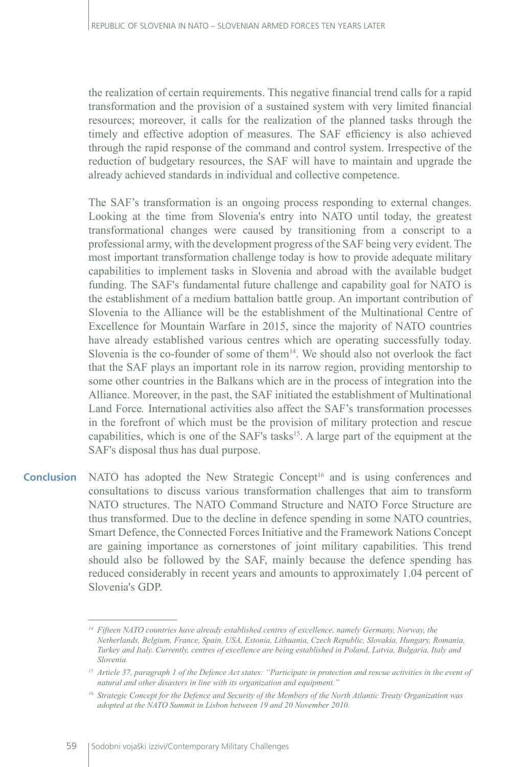the realization of certain requirements. This negative financial trend calls for a rapid transformation and the provision of a sustained system with very limited financial resources; moreover, it calls for the realization of the planned tasks through the timely and effective adoption of measures. The SAF efficiency is also achieved through the rapid response of the command and control system. Irrespective of the reduction of budgetary resources, the SAF will have to maintain and upgrade the already achieved standards in individual and collective competence.

The SAF's transformation is an ongoing process responding to external changes. Looking at the time from Slovenia's entry into NATO until today, the greatest transformational changes were caused by transitioning from a conscript to a professional army, with the development progress of the SAF being very evident. The most important transformation challenge today is how to provide adequate military capabilities to implement tasks in Slovenia and abroad with the available budget funding. The SAF's fundamental future challenge and capability goal for NATO is the establishment of a medium battalion battle group. An important contribution of Slovenia to the Alliance will be the establishment of the Multinational Centre of Excellence for Mountain Warfare in 2015, since the majority of NATO countries have already established various centres which are operating successfully today. Slovenia is the co-founder of some of them<sup>14</sup>. We should also not overlook the fact that the SAF plays an important role in its narrow region, providing mentorship to some other countries in the Balkans which are in the process of integration into the Alliance. Moreover, in the past, the SAF initiated the establishment of Multinational Land Force*.* International activities also affect the SAF's transformation processes in the forefront of which must be the provision of military protection and rescue capabilities, which is one of the SAF's tasks<sup>15</sup>. A large part of the equipment at the SAF's disposal thus has dual purpose.

NATO has adopted the New Strategic Concept<sup>16</sup> and is using conferences and consultations to discuss various transformation challenges that aim to transform NATO structures. The NATO Command Structure and NATO Force Structure are thus transformed. Due to the decline in defence spending in some NATO countries, Smart Defence, the Connected Forces Initiative and the Framework Nations Concept are gaining importance as cornerstones of joint military capabilities. This trend should also be followed by the SAF, mainly because the defence spending has reduced considerably in recent years and amounts to approximately 1.04 percent of Slovenia's GDP. **Conclusion**

*<sup>14</sup> Fifteen NATO countries have already established centres of excellence, namely Germany, Norway, the Netherlands, Belgium, France, Spain, USA, Estonia, Lithuania, Czech Republic, Slovakia, Hungary, Romania, Turkey and Italy. Currently, centres of excellence are being established in Poland, Latvia, Bulgaria, Italy and Slovenia.* 

*<sup>15</sup> Article 37, paragraph 1 of the Defence Act states: "Participate in protection and rescue activities in the event of natural and other disasters in line with its organization and equipment."*

*<sup>16</sup> Strategic Concept for the Defence and Security of the Members of the North Atlantic Treaty Organization was adopted at the NATO Summit in Lisbon between 19 and 20 November 2010.*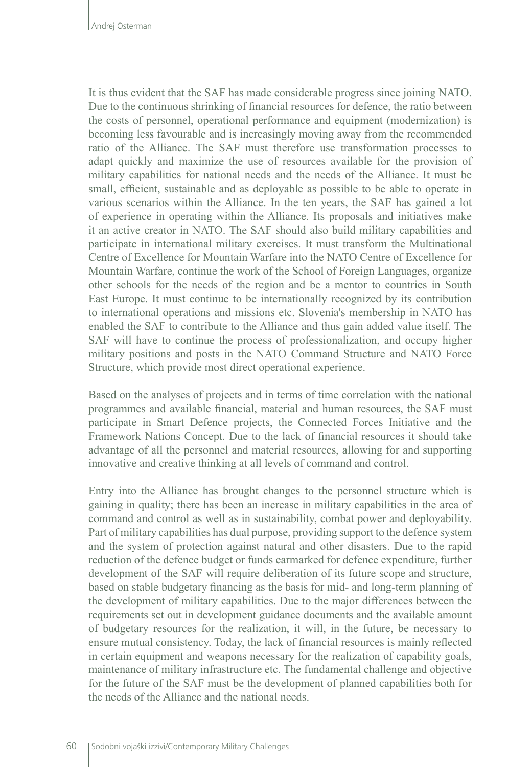It is thus evident that the SAF has made considerable progress since joining NATO. Due to the continuous shrinking of financial resources for defence, the ratio between the costs of personnel, operational performance and equipment (modernization) is becoming less favourable and is increasingly moving away from the recommended ratio of the Alliance. The SAF must therefore use transformation processes to adapt quickly and maximize the use of resources available for the provision of military capabilities for national needs and the needs of the Alliance. It must be small, efficient, sustainable and as deployable as possible to be able to operate in various scenarios within the Alliance. In the ten years, the SAF has gained a lot of experience in operating within the Alliance. Its proposals and initiatives make it an active creator in NATO. The SAF should also build military capabilities and participate in international military exercises. It must transform the Multinational Centre of Excellence for Mountain Warfare into the NATO Centre of Excellence for Mountain Warfare, continue the work of the School of Foreign Languages, organize other schools for the needs of the region and be a mentor to countries in South East Europe. It must continue to be internationally recognized by its contribution to international operations and missions etc. Slovenia's membership in NATO has enabled the SAF to contribute to the Alliance and thus gain added value itself. The SAF will have to continue the process of professionalization, and occupy higher military positions and posts in the NATO Command Structure and NATO Force Structure, which provide most direct operational experience.

Based on the analyses of projects and in terms of time correlation with the national programmes and available financial, material and human resources, the SAF must participate in Smart Defence projects, the Connected Forces Initiative and the Framework Nations Concept. Due to the lack of financial resources it should take advantage of all the personnel and material resources, allowing for and supporting innovative and creative thinking at all levels of command and control.

Entry into the Alliance has brought changes to the personnel structure which is gaining in quality; there has been an increase in military capabilities in the area of command and control as well as in sustainability, combat power and deployability. Part of military capabilities has dual purpose, providing support to the defence system and the system of protection against natural and other disasters. Due to the rapid reduction of the defence budget or funds earmarked for defence expenditure, further development of the SAF will require deliberation of its future scope and structure, based on stable budgetary financing as the basis for mid- and long-term planning of the development of military capabilities. Due to the major differences between the requirements set out in development guidance documents and the available amount of budgetary resources for the realization, it will, in the future, be necessary to ensure mutual consistency. Today, the lack of financial resources is mainly reflected in certain equipment and weapons necessary for the realization of capability goals, maintenance of military infrastructure etc. The fundamental challenge and objective for the future of the SAF must be the development of planned capabilities both for the needs of the Alliance and the national needs.